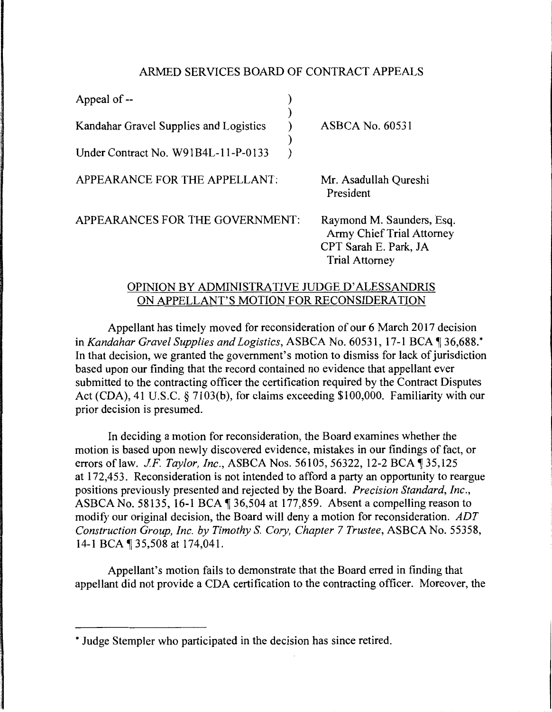## ARMED SERVICES BOARD OF CONTRACT APPEALS

| Appeal of --                           |                                                                                                          |
|----------------------------------------|----------------------------------------------------------------------------------------------------------|
| Kandahar Gravel Supplies and Logistics | <b>ASBCA No. 60531</b>                                                                                   |
| Under Contract No. W91B4L-11-P-0133    |                                                                                                          |
| APPEARANCE FOR THE APPELLANT:          | Mr. Asadullah Qureshi<br>President                                                                       |
| APPEARANCES FOR THE GOVERNMENT:        | Raymond M. Saunders, Esq.<br>Army Chief Trial Attorney<br>CPT Sarah E. Park, JA<br><b>Trial Attorney</b> |

## OPINION BY ADMINISTRATIVE JUDGE D' ALESSANDRIS ON APPELLANT'S MOTION FOR RECONSIDERATION

Appellant has timely moved for reconsideration of our 6 March 2017 decision in *Kandahar Gravel Supplies and Logistics*, ASBCA No. 60531, 17-1 BCA 136,688.\* In that decision, we granted the government's motion to dismiss for lack of jurisdiction based upon our finding that the record contained no evidence that appellant ever submitted to the contracting officer the certification required by the Contract Disputes Act (CDA), 41 U.S.C. § 7103(b), for claims exceeding \$100,000. Familiarity with our prior decision is presumed.

In deciding a motion for reconsideration, the Board examines whether the motion is based upon newly discovered evidence, mistakes in our findings of fact, or errors of law. *J.F. Taylor, Inc.*, ASBCA Nos. 56105, 56322, 12-2 BCA 1 35,125 at 172,453. Reconsideration is not intended to afford a party an opportunity to reargue positions previously presented and rejected by the Board. *Precision Standard, Inc.,*  ASBCA No. 58135, 16-1 BCA  $\P$  36,504 at 177,859. Absent a compelling reason to modify our original decision, the Board will deny a motion for reconsideration. *ADT Construction Group, Inc. by Timothy* S. *Cory, Chapter* 7 *Trustee,* ASBCA No. 55358, 14-1 BCA | 35,508 at 174,041.

Appellant's motion fails to demonstrate that the Board erred in finding that appellant did not provide a CDA certification to the contracting officer. Moreover, the

<sup>\*</sup> Judge Stempler who participated in the decision has since retired.